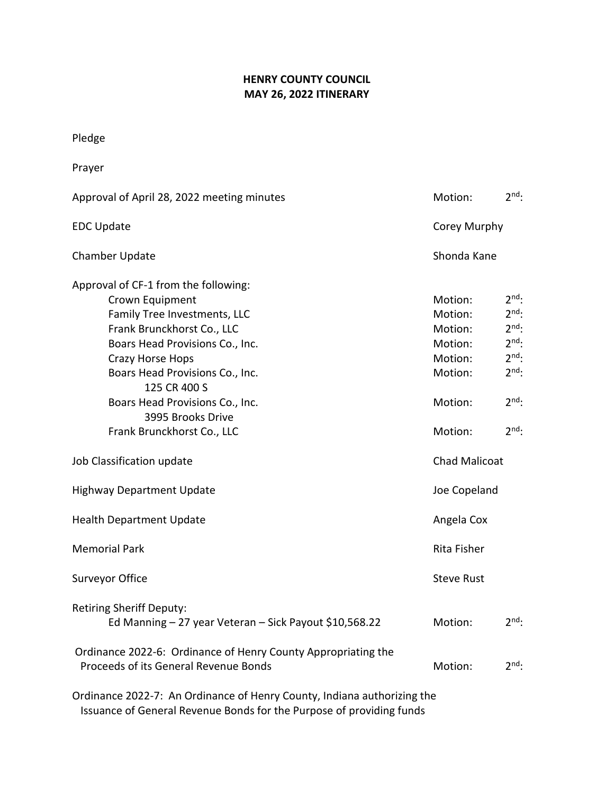## **HENRY COUNTY COUNCIL MAY 26, 2022 ITINERARY**

Pledge

| Prayer                                                                                                 |                      |            |  |
|--------------------------------------------------------------------------------------------------------|----------------------|------------|--|
| Approval of April 28, 2022 meeting minutes                                                             | Motion:              | $2nd$ :    |  |
| <b>EDC Update</b>                                                                                      | Corey Murphy         |            |  |
| <b>Chamber Update</b>                                                                                  | Shonda Kane          |            |  |
| Approval of CF-1 from the following:                                                                   |                      |            |  |
| Crown Equipment                                                                                        | Motion:              | $2^{nd}$ : |  |
| Family Tree Investments, LLC                                                                           | Motion:              | $2nd$ :    |  |
| Frank Brunckhorst Co., LLC                                                                             | Motion:              | $2^{nd}$ : |  |
| Boars Head Provisions Co., Inc.                                                                        | Motion:              | $2nd$ :    |  |
| Crazy Horse Hops                                                                                       | Motion:              | $2nd$ :    |  |
| Boars Head Provisions Co., Inc.<br>125 CR 400 S                                                        | Motion:              | $2^{nd}$ : |  |
| Boars Head Provisions Co., Inc.                                                                        | Motion:              | $2^{nd}$ : |  |
| 3995 Brooks Drive                                                                                      |                      |            |  |
| Frank Brunckhorst Co., LLC                                                                             | Motion:              | $2^{nd}$ : |  |
| Job Classification update                                                                              | <b>Chad Malicoat</b> |            |  |
| <b>Highway Department Update</b>                                                                       | Joe Copeland         |            |  |
| <b>Health Department Update</b>                                                                        | Angela Cox           |            |  |
| <b>Memorial Park</b>                                                                                   | Rita Fisher          |            |  |
| Surveyor Office                                                                                        | <b>Steve Rust</b>    |            |  |
| <b>Retiring Sheriff Deputy:</b><br>Ed Manning - 27 year Veteran - Sick Payout \$10,568.22              | Motion:              | $2nd$ :    |  |
| Ordinance 2022-6: Ordinance of Henry County Appropriating the<br>Proceeds of its General Revenue Bonds | Motion:              | $2nd$ :    |  |
| Ordinance 2022-7: An Ordinance of Henry County, Indiana authorizing the                                |                      |            |  |

Issuance of General Revenue Bonds for the Purpose of providing funds